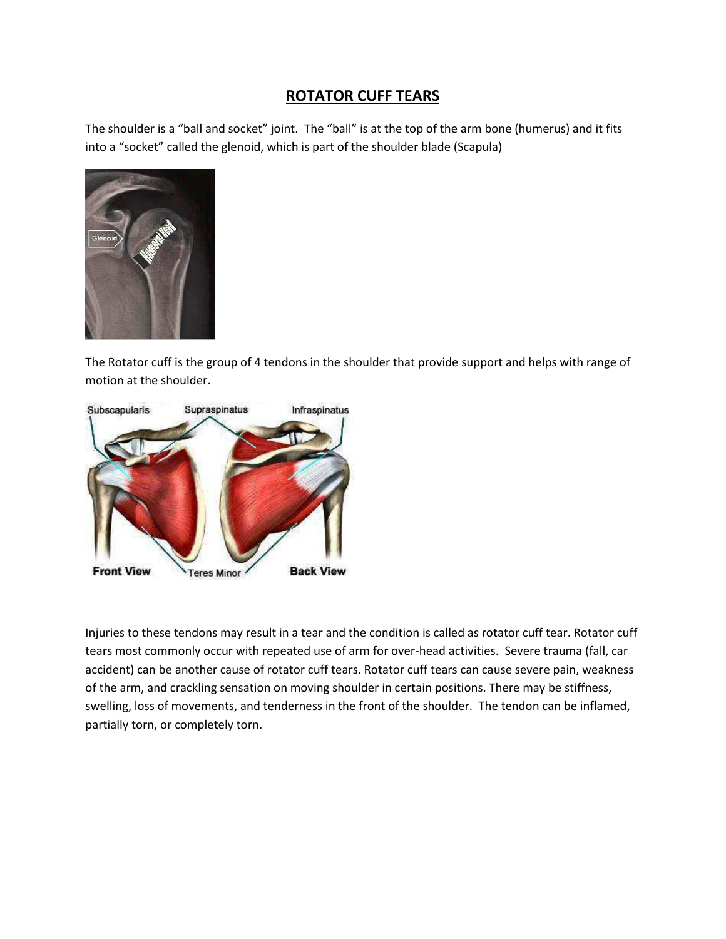# **ROTATOR CUFF TEARS**

The shoulder is a "ball and socket" joint. The "ball" is at the top of the arm bone (humerus) and it fits into a "socket" called the glenoid, which is part of the shoulder blade (Scapula)



The Rotator cuff is the group of 4 tendons in the shoulder that provide support and helps with range of motion at the shoulder.



Injuries to these tendons may result in a tear and the condition is called as rotator cuff tear. Rotator cuff tears most commonly occur with repeated use of arm for over-head activities. Severe trauma (fall, car accident) can be another cause of rotator cuff tears. Rotator cuff tears can cause severe pain, weakness of the arm, and crackling sensation on moving shoulder in certain positions. There may be stiffness, swelling, loss of movements, and tenderness in the front of the shoulder. The tendon can be inflamed, partially torn, or completely torn.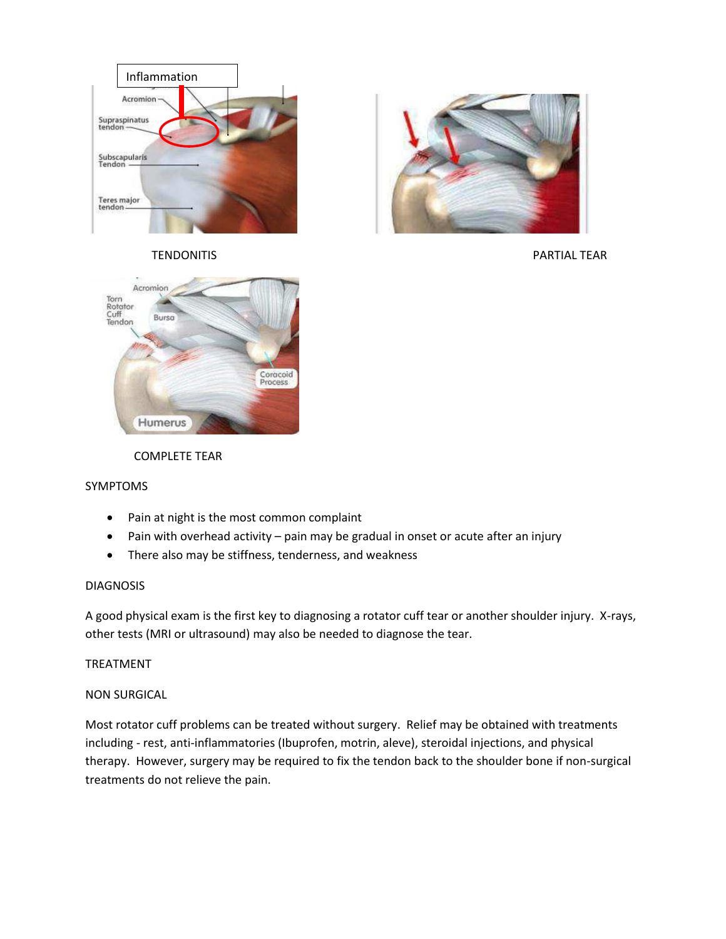



TENDONITIS FOR THE RESERVE TO A SERVE TO A SERVE TO A PARTIAL TEAR OF THE RESERVE TO A SERVE TO A SERVE TO A S



# COMPLETE TEAR

# SYMPTOMS

- Pain at night is the most common complaint
- Pain with overhead activity pain may be gradual in onset or acute after an injury
- There also may be stiffness, tenderness, and weakness

### DIAGNOSIS

A good physical exam is the first key to diagnosing a rotator cuff tear or another shoulder injury. X-rays, other tests (MRI or ultrasound) may also be needed to diagnose the tear.

# TREATMENT

# NON SURGICAL

Most rotator cuff problems can be treated without surgery. Relief may be obtained with treatments including - rest, anti-inflammatories (Ibuprofen, motrin, aleve), steroidal injections, and physical therapy. However, surgery may be required to fix the tendon back to the shoulder bone if non-surgical treatments do not relieve the pain.